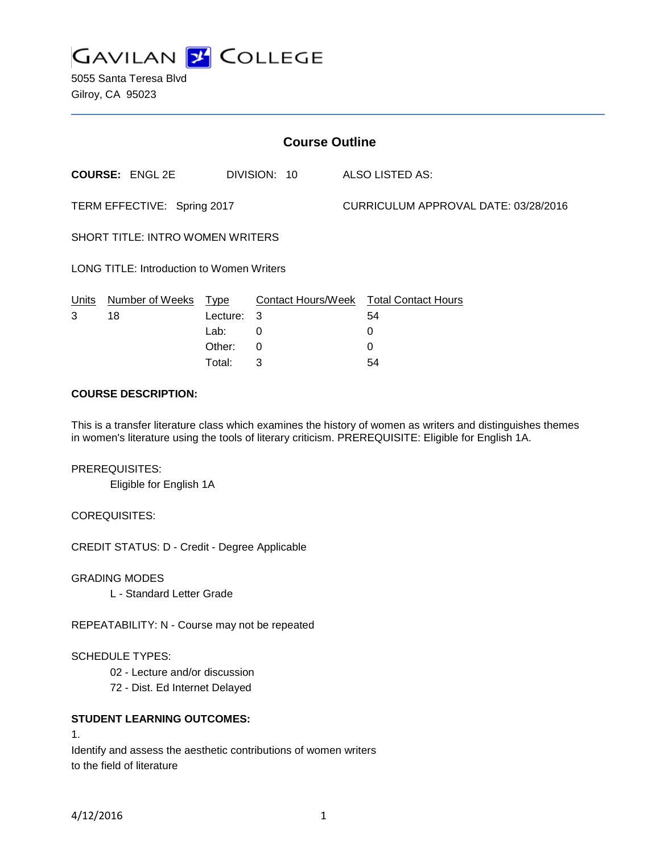

5055 Santa Teresa Blvd Gilroy, CA 95023

| <b>Course Outline</b>                            |                        |          |              |  |                                      |                                        |
|--------------------------------------------------|------------------------|----------|--------------|--|--------------------------------------|----------------------------------------|
|                                                  | <b>COURSE: ENGL 2E</b> |          | DIVISION: 10 |  |                                      | <b>ALSO LISTED AS:</b>                 |
| TERM EFFECTIVE: Spring 2017                      |                        |          |              |  | CURRICULUM APPROVAL DATE: 03/28/2016 |                                        |
| <b>SHORT TITLE: INTRO WOMEN WRITERS</b>          |                        |          |              |  |                                      |                                        |
| <b>LONG TITLE: Introduction to Women Writers</b> |                        |          |              |  |                                      |                                        |
| Units                                            | Number of Weeks        | Type     |              |  |                                      | Contact Hours/Week Total Contact Hours |
| 3                                                | 18                     | Lecture: | 3            |  |                                      | 54                                     |
|                                                  |                        | Lab:     | 0            |  |                                      | 0                                      |
|                                                  |                        | Other:   | 0            |  |                                      | 0                                      |

### **COURSE DESCRIPTION:**

This is a transfer literature class which examines the history of women as writers and distinguishes themes in women's literature using the tools of literary criticism. PREREQUISITE: Eligible for English 1A.

Total: 3 54

### PREREQUISITES:

Eligible for English 1A

### COREQUISITES:

CREDIT STATUS: D - Credit - Degree Applicable

### GRADING MODES

L - Standard Letter Grade

REPEATABILITY: N - Course may not be repeated

### SCHEDULE TYPES:

- 02 Lecture and/or discussion
- 72 Dist. Ed Internet Delayed

### **STUDENT LEARNING OUTCOMES:**

1.

Identify and assess the aesthetic contributions of women writers to the field of literature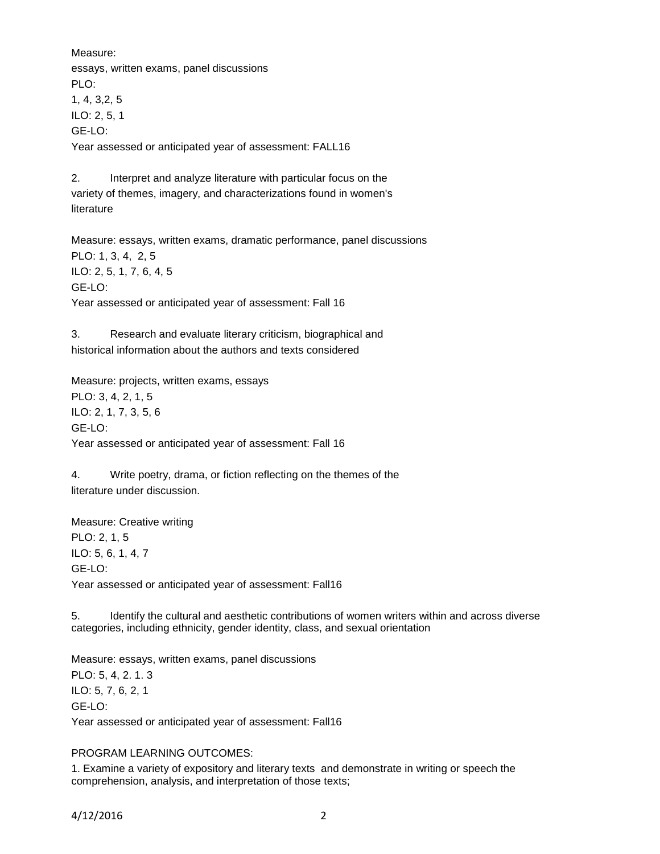Measure:

essays, written exams, panel discussions PLO: 1, 4, 3,2, 5 ILO: 2, 5, 1 GE-LO: Year assessed or anticipated year of assessment: FALL16

2. Interpret and analyze literature with particular focus on the variety of themes, imagery, and characterizations found in women's literature

Measure: essays, written exams, dramatic performance, panel discussions PLO: 1, 3, 4, 2, 5 ILO: 2, 5, 1, 7, 6, 4, 5 GE-LO: Year assessed or anticipated year of assessment: Fall 16

3. Research and evaluate literary criticism, biographical and historical information about the authors and texts considered

Measure: projects, written exams, essays PLO: 3, 4, 2, 1, 5 ILO: 2, 1, 7, 3, 5, 6 GE-LO: Year assessed or anticipated year of assessment: Fall 16

4. Write poetry, drama, or fiction reflecting on the themes of the literature under discussion.

Measure: Creative writing PLO: 2, 1, 5 ILO: 5, 6, 1, 4, 7 GE-LO: Year assessed or anticipated year of assessment: Fall16

5. Identify the cultural and aesthetic contributions of women writers within and across diverse categories, including ethnicity, gender identity, class, and sexual orientation

Measure: essays, written exams, panel discussions PLO: 5, 4, 2. 1. 3 ILO: 5, 7, 6, 2, 1 GE-LO: Year assessed or anticipated year of assessment: Fall16

# PROGRAM LEARNING OUTCOMES:

1. Examine a variety of expository and literary texts and demonstrate in writing or speech the comprehension, analysis, and interpretation of those texts;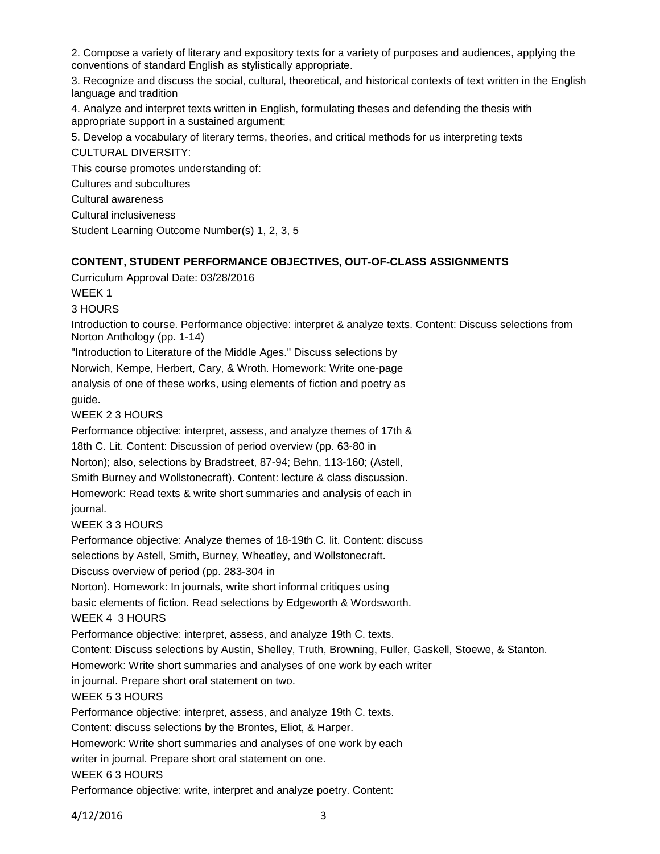2. Compose a variety of literary and expository texts for a variety of purposes and audiences, applying the conventions of standard English as stylistically appropriate.

3. Recognize and discuss the social, cultural, theoretical, and historical contexts of text written in the English language and tradition

4. Analyze and interpret texts written in English, formulating theses and defending the thesis with appropriate support in a sustained argument;

5. Develop a vocabulary of literary terms, theories, and critical methods for us interpreting texts CULTURAL DIVERSITY:

This course promotes understanding of: Cultures and subcultures Cultural awareness Cultural inclusiveness Student Learning Outcome Number(s) 1, 2, 3, 5

## **CONTENT, STUDENT PERFORMANCE OBJECTIVES, OUT-OF-CLASS ASSIGNMENTS**

Curriculum Approval Date: 03/28/2016

WEEK 1

3 HOURS

Introduction to course. Performance objective: interpret & analyze texts. Content: Discuss selections from Norton Anthology (pp. 1-14)

"Introduction to Literature of the Middle Ages." Discuss selections by Norwich, Kempe, Herbert, Cary, & Wroth. Homework: Write one-page analysis of one of these works, using elements of fiction and poetry as guide.

WEEK 2 3 HOURS

Performance objective: interpret, assess, and analyze themes of 17th &

18th C. Lit. Content: Discussion of period overview (pp. 63-80 in

Norton); also, selections by Bradstreet, 87-94; Behn, 113-160; (Astell,

Smith Burney and Wollstonecraft). Content: lecture & class discussion.

Homework: Read texts & write short summaries and analysis of each in journal.

WEEK 3 3 HOURS

Performance objective: Analyze themes of 18-19th C. lit. Content: discuss selections by Astell, Smith, Burney, Wheatley, and Wollstonecraft.

Discuss overview of period (pp. 283-304 in

Norton). Homework: In journals, write short informal critiques using

basic elements of fiction. Read selections by Edgeworth & Wordsworth.

WEEK 4 3 HOURS

Performance objective: interpret, assess, and analyze 19th C. texts.

Content: Discuss selections by Austin, Shelley, Truth, Browning, Fuller, Gaskell, Stoewe, & Stanton.

Homework: Write short summaries and analyses of one work by each writer

in journal. Prepare short oral statement on two.

WEEK 5 3 HOURS

Performance objective: interpret, assess, and analyze 19th C. texts.

Content: discuss selections by the Brontes, Eliot, & Harper.

Homework: Write short summaries and analyses of one work by each

writer in journal. Prepare short oral statement on one.

WEEK 6 3 HOURS

Performance objective: write, interpret and analyze poetry. Content:

4/12/2016 3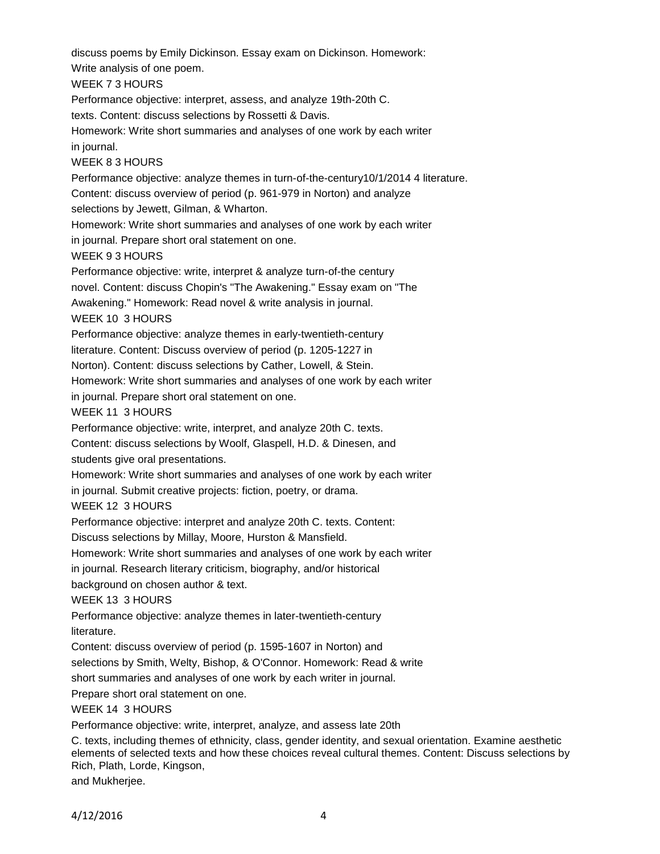discuss poems by Emily Dickinson. Essay exam on Dickinson. Homework: Write analysis of one poem. WEEK 7 3 HOURS Performance objective: interpret, assess, and analyze 19th-20th C. texts. Content: discuss selections by Rossetti & Davis. Homework: Write short summaries and analyses of one work by each writer in journal. WEEK 8 3 HOURS Performance objective: analyze themes in turn-of-the-century10/1/2014 4 literature. Content: discuss overview of period (p. 961-979 in Norton) and analyze selections by Jewett, Gilman, & Wharton. Homework: Write short summaries and analyses of one work by each writer in journal. Prepare short oral statement on one. WEEK 9 3 HOURS Performance objective: write, interpret & analyze turn-of-the century novel. Content: discuss Chopin's "The Awakening." Essay exam on "The Awakening." Homework: Read novel & write analysis in journal. WEEK 10 3 HOURS Performance objective: analyze themes in early-twentieth-century literature. Content: Discuss overview of period (p. 1205-1227 in Norton). Content: discuss selections by Cather, Lowell, & Stein. Homework: Write short summaries and analyses of one work by each writer in journal. Prepare short oral statement on one. WEEK 11 3 HOURS Performance objective: write, interpret, and analyze 20th C. texts. Content: discuss selections by Woolf, Glaspell, H.D. & Dinesen, and students give oral presentations. Homework: Write short summaries and analyses of one work by each writer in journal. Submit creative projects: fiction, poetry, or drama. WEEK 12 3 HOURS Performance objective: interpret and analyze 20th C. texts. Content: Discuss selections by Millay, Moore, Hurston & Mansfield. Homework: Write short summaries and analyses of one work by each writer in journal. Research literary criticism, biography, and/or historical background on chosen author & text. WEEK 13 3 HOURS Performance objective: analyze themes in later-twentieth-century literature. Content: discuss overview of period (p. 1595-1607 in Norton) and selections by Smith, Welty, Bishop, & O'Connor. Homework: Read & write short summaries and analyses of one work by each writer in journal. Prepare short oral statement on one. WEEK 14 3 HOURS Performance objective: write, interpret, analyze, and assess late 20th C. texts, including themes of ethnicity, class, gender identity, and sexual orientation. Examine aesthetic elements of selected texts and how these choices reveal cultural themes. Content: Discuss selections by Rich, Plath, Lorde, Kingson,

and Mukherjee.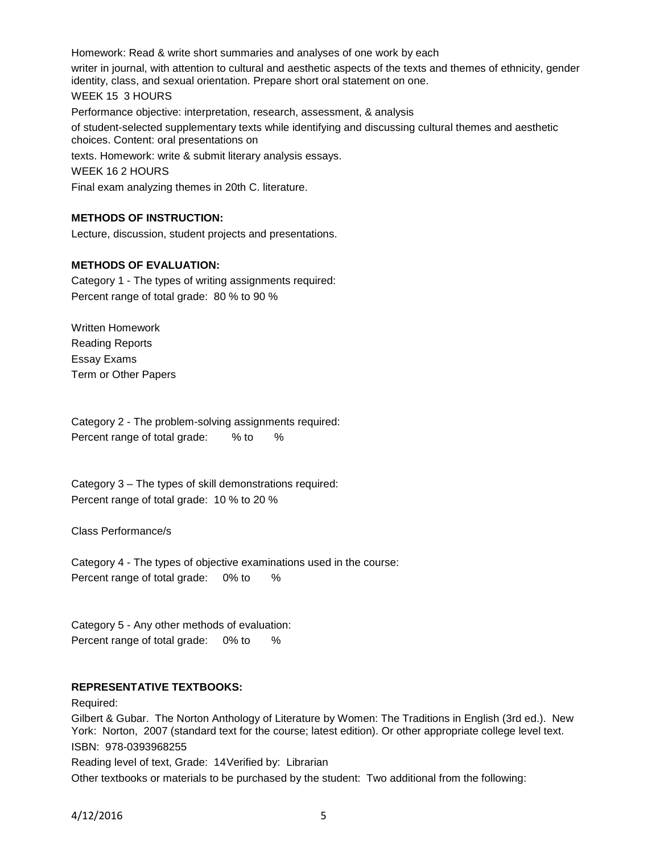Homework: Read & write short summaries and analyses of one work by each writer in journal, with attention to cultural and aesthetic aspects of the texts and themes of ethnicity, gender identity, class, and sexual orientation. Prepare short oral statement on one.

WEEK 15 3 HOURS Performance objective: interpretation, research, assessment, & analysis of student-selected supplementary texts while identifying and discussing cultural themes and aesthetic choices. Content: oral presentations on texts. Homework: write & submit literary analysis essays. WEEK 16 2 HOURS Final exam analyzing themes in 20th C. literature.

## **METHODS OF INSTRUCTION:**

Lecture, discussion, student projects and presentations.

## **METHODS OF EVALUATION:**

Category 1 - The types of writing assignments required: Percent range of total grade: 80 % to 90 %

Written Homework Reading Reports Essay Exams Term or Other Papers

Category 2 - The problem-solving assignments required: Percent range of total grade: % to %

Category 3 – The types of skill demonstrations required: Percent range of total grade: 10 % to 20 %

Class Performance/s

Category 4 - The types of objective examinations used in the course: Percent range of total grade: 0% to %

Category 5 - Any other methods of evaluation: Percent range of total grade: 0% to %

## **REPRESENTATIVE TEXTBOOKS:**

Required:

Gilbert & Gubar. The Norton Anthology of Literature by Women: The Traditions in English (3rd ed.). New York: Norton, 2007 (standard text for the course; latest edition). Or other appropriate college level text. ISBN: 978-0393968255

Reading level of text, Grade: 14Verified by: Librarian

Other textbooks or materials to be purchased by the student: Two additional from the following: